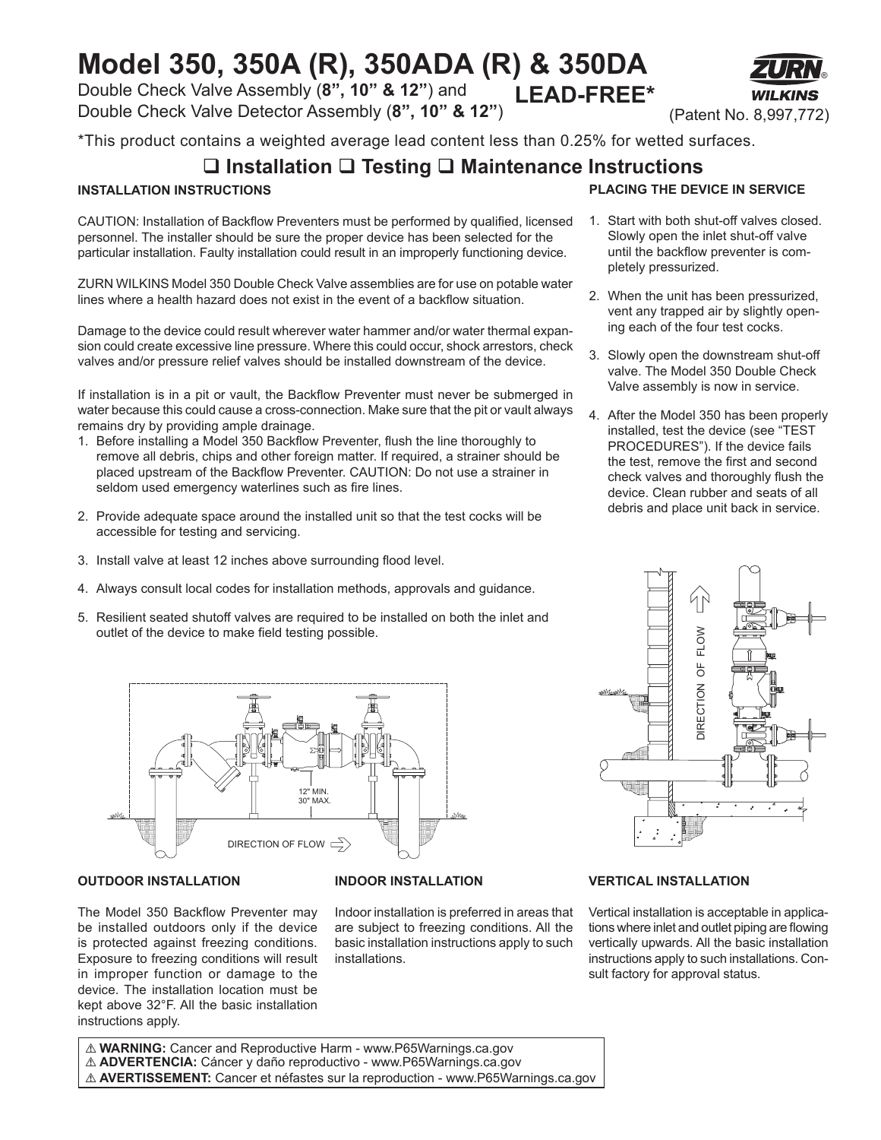# **Model 350, 350A (R), 350ADA (R) & 350DA**

Double Check Valve Assembly (**8", 10" & 12"**) and Double Check Valve Detector Assembly (**8", 10" & 12"**) **LEAD-FREE\***

\*This product contains a weighted average lead content less than 0.25% for wetted surfaces.

### **Installation Testing Maintenance Instructions**

### **INSTALLATION INSTRUCTIONS**

CAUTION: Installation of Backflow Preventers must be performed by qualified, licensed personnel. The installer should be sure the proper device has been selected for the particular installation. Faulty installation could result in an improperly functioning device.

ZURN WILKINS Model 350 Double Check Valve assemblies are for use on potable water lines where a health hazard does not exist in the event of a backflow situation.

Damage to the device could result wherever water hammer and/or water thermal expansion could create excessive line pressure. Where this could occur, shock arrestors, check valves and/or pressure relief valves should be installed downstream of the device.

If installation is in a pit or vault, the Backflow Preventer must never be submerged in water because this could cause a cross-connection. Make sure that the pit or vault always remains dry by providing ample drainage.

- 1. Before installing a Model 350 Backflow Preventer, flush the line thoroughly to remove all debris, chips and other foreign matter. If required, a strainer should be placed upstream of the Backflow Preventer. CAUTION: Do not use a strainer in seldom used emergency waterlines such as fire lines.
- 2. Provide adequate space around the installed unit so that the test cocks will be accessible for testing and servicing.
- 3. Install valve at least 12 inches above surrounding flood level.
- 4. Always consult local codes for installation methods, approvals and guidance.
- 5. Resilient seated shutoff valves are required to be installed on both the inlet and outlet of the device to make field testing possible.



#### **OUTDOOR INSTALLATION**

The Model 350 Backflow Preventer may be installed outdoors only if the device is protected against freezing conditions. Exposure to freezing conditions will result in improper function or damage to the device. The installation location must be kept above 32°F. All the basic installation instructions apply.

#### **INDOOR INSTALLATION**

Indoor installation is preferred in areas that are subject to freezing conditions. All the basic installation instructions apply to such installations.



(Patent No. 8,997,772)

®

- 1. Start with both shut-off valves closed. Slowly open the inlet shut-off valve until the backflow preventer is completely pressurized.
- 2. When the unit has been pressurized, vent any trapped air by slightly opening each of the four test cocks.
- 3. Slowly open the downstream shut-off valve. The Model 350 Double Check Valve assembly is now in service.
- 4. After the Model 350 has been properly installed, test the device (see "TEST PROCEDURES"). If the device fails the test, remove the first and second check valves and thoroughly flush the device. Clean rubber and seats of all debris and place unit back in service.



#### **VERTICAL INSTALLATION**

Vertical installation is acceptable in applications where inlet and outlet piping are flowing vertically upwards. All the basic installation instructions apply to such installations. Consult factory for approval status.

! **WARNING:** Cancer and Reproductive Harm - www.P65Warnings.ca.gov ! **ADVERTENCIA:** Cáncer y daño reproductivo - www.P65Warnings.ca.gov ! **AVERTISSEMENT:** Cancer et néfastes sur la reproduction - www.P65Warnings.ca.gov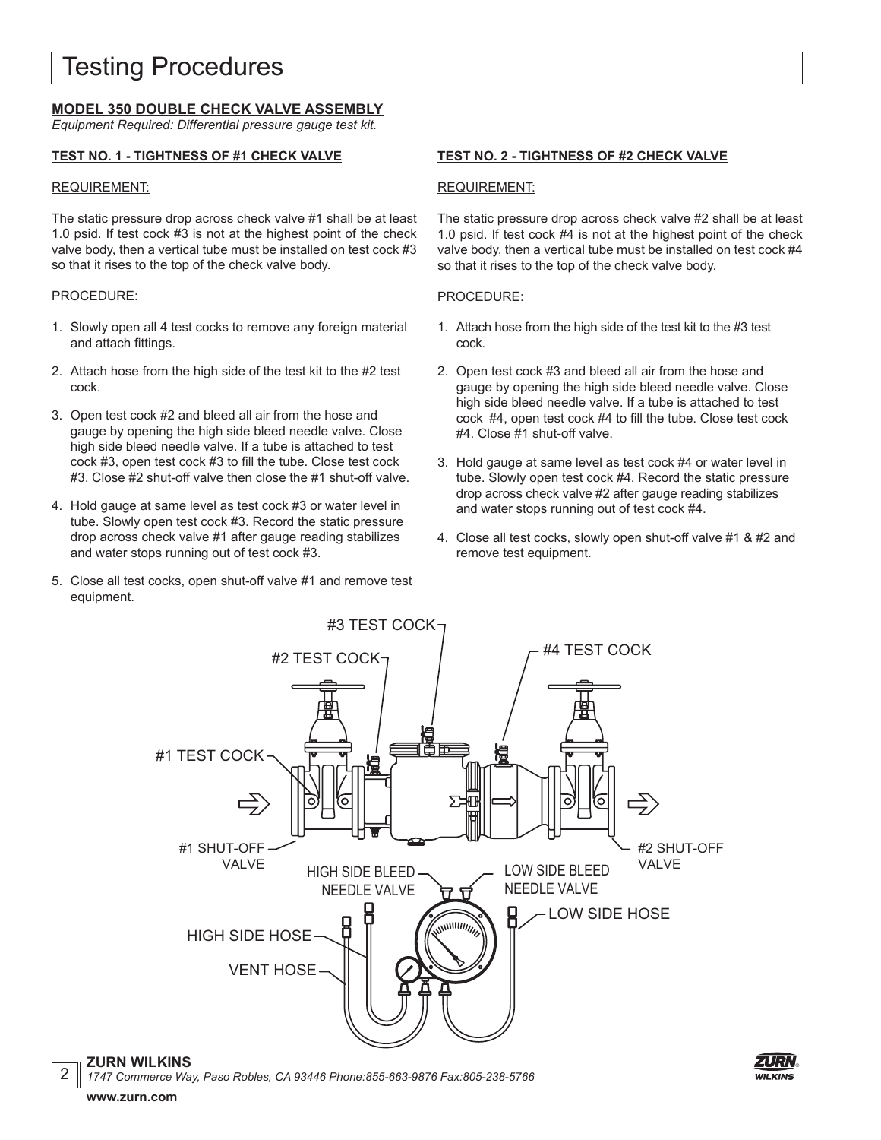### Testing Procedures

### **MODEL 350 DOUBLE CHECK VALVE ASSEMBLY**

*Equipment Required: Differential pressure gauge test kit.*

#### **TEST NO. 1 - TIGHTNESS OF #1 CHECK VALVE**

#### REQUIREMENT:

The static pressure drop across check valve #1 shall be at least 1.0 psid. If test cock #3 is not at the highest point of the check valve body, then a vertical tube must be installed on test cock #3 so that it rises to the top of the check valve body.

#### PROCEDURE:

- 1. Slowly open all 4 test cocks to remove any foreign material and attach fittings.
- 2. Attach hose from the high side of the test kit to the #2 test cock.
- 3. Open test cock #2 and bleed all air from the hose and gauge by opening the high side bleed needle valve. Close high side bleed needle valve. If a tube is attached to test cock #3, open test cock #3 to fill the tube. Close test cock #3. Close #2 shut-off valve then close the #1 shut-off valve.
- 4. Hold gauge at same level as test cock #3 or water level in tube. Slowly open test cock #3. Record the static pressure drop across check valve #1 after gauge reading stabilizes and water stops running out of test cock #3.
- 5. Close all test cocks, open shut-off valve #1 and remove test equipment.

#### **TEST NO. 2 - TIGHTNESS OF #2 CHECK VALVE**

#### REQUIREMENT:

The static pressure drop across check valve #2 shall be at least 1.0 psid. If test cock #4 is not at the highest point of the check valve body, then a vertical tube must be installed on test cock #4 so that it rises to the top of the check valve body.

#### PROCEDURE:

- 1. Attach hose from the high side of the test kit to the #3 test cock.
- 2. Open test cock #3 and bleed all air from the hose and gauge by opening the high side bleed needle valve. Close high side bleed needle valve. If a tube is attached to test cock #4, open test cock #4 to fill the tube. Close test cock #4. Close #1 shut-off valve.
- 3. Hold gauge at same level as test cock #4 or water level in tube. Slowly open test cock #4. Record the static pressure drop across check valve #2 after gauge reading stabilizes and water stops running out of test cock #4.
- 4. Close all test cocks, slowly open shut-off valve #1 & #2 and remove test equipment.



*1747 Commerce Way, Paso Robles, CA 93446 Phone:855-663-9876 Fax:805-238-5766*



2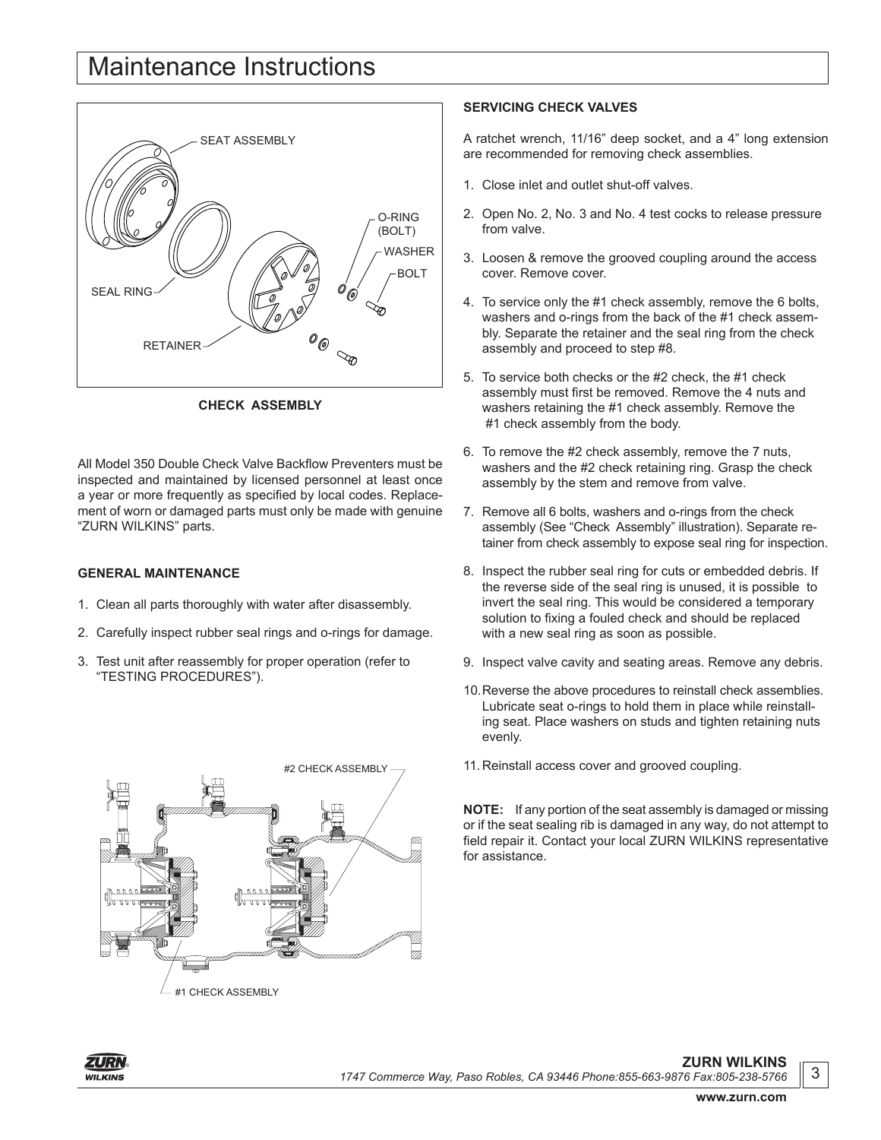### Maintenance Instructions



**CHECK ASSEMBLY**

All Model 350 Double Check Valve Backflow Preventers must be inspected and maintained by licensed personnel at least once a year or more frequently as specified by local codes. Replacement of worn or damaged parts must only be made with genuine "ZURN WILKINS" parts.

#### **GENERAL MAINTENANCE**

- 1. Clean all parts thoroughly with water after disassembly.
- 2. Carefully inspect rubber seal rings and o-rings for damage.
- 3. Test unit after reassembly for proper operation (refer to "TESTING PROCEDURES").



#### **SERVICING CHECK VALVES**

A ratchet wrench, 11/16" deep socket, and a 4" long extension are recommended for removing check assemblies.

- 1. Close inlet and outlet shut-off valves.
- 2. Open No. 2, No. 3 and No. 4 test cocks to release pressure from valve.
- 3. Loosen & remove the grooved coupling around the access cover. Remove cover.
- 4. To service only the #1 check assembly, remove the 6 bolts, washers and o-rings from the back of the #1 check assembly. Separate the retainer and the seal ring from the check assembly and proceed to step #8.
- 5. To service both checks or the #2 check, the #1 check assembly must first be removed. Remove the 4 nuts and washers retaining the #1 check assembly. Remove the #1 check assembly from the body.
- 6. To remove the #2 check assembly, remove the 7 nuts, washers and the #2 check retaining ring. Grasp the check assembly by the stem and remove from valve.
- 7. Remove all 6 bolts, washers and o-rings from the check assembly (See "Check Assembly" illustration). Separate retainer from check assembly to expose seal ring for inspection.
- 8. Inspect the rubber seal ring for cuts or embedded debris. If the reverse side of the seal ring is unused, it is possible to invert the seal ring. This would be considered a temporary solution to fixing a fouled check and should be replaced with a new seal ring as soon as possible.
- 9. Inspect valve cavity and seating areas. Remove any debris.
- 10.Reverse the above procedures to reinstall check assemblies. Lubricate seat o-rings to hold them in place while reinstalling seat. Place washers on studs and tighten retaining nuts evenly.
- 11.Reinstall access cover and grooved coupling.

**NOTE:** If any portion of the seat assembly is damaged or missing or if the seat sealing rib is damaged in any way, do not attempt to field repair it. Contact your local ZURN WILKINS representative for assistance.



**www.zurn.com**

3